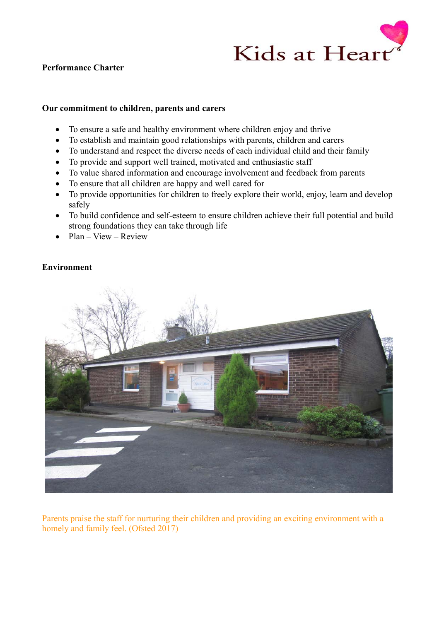

# **Performance Charter**

#### **Our commitment to children, parents and carers**

- To ensure a safe and healthy environment where children enjoy and thrive
- To establish and maintain good relationships with parents, children and carers
- To understand and respect the diverse needs of each individual child and their family
- To provide and support well trained, motivated and enthusiastic staff
- To value shared information and encourage involvement and feedback from parents
- To ensure that all children are happy and well cared for
- To provide opportunities for children to freely explore their world, enjoy, learn and develop safely
- To build confidence and self-esteem to ensure children achieve their full potential and build strong foundations they can take through life
- Plan View Review

# **Environment**



Parents praise the staff for nurturing their children and providing an exciting environment with a homely and family feel. (Ofsted 2017)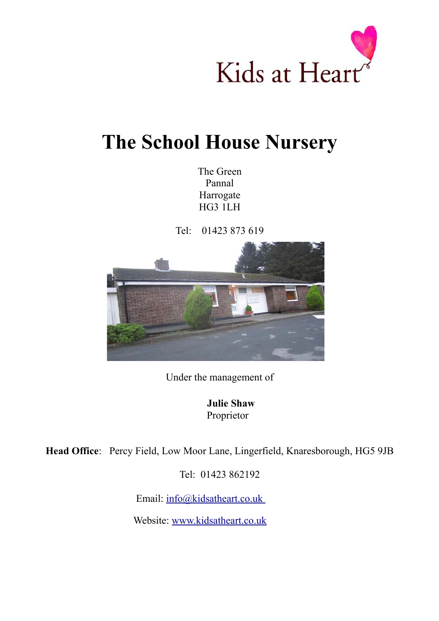

# **The School House Nursery**

The Green Pannal Harrogate HG3 1LH

Tel: 01423 873 619



Under the management of

**Julie Shaw** Proprietor

**Head Office**: Percy Field, Low Moor Lane, Lingerfield, Knaresborough, HG5 9JB

Tel: 01423 862192

Email: [info@kidsatheart.co.uk](mailto:info@kidsatheart.co.uk)

Website: [www.kidsatheart.co.uk](http://www.kidsatheart.co.uk/)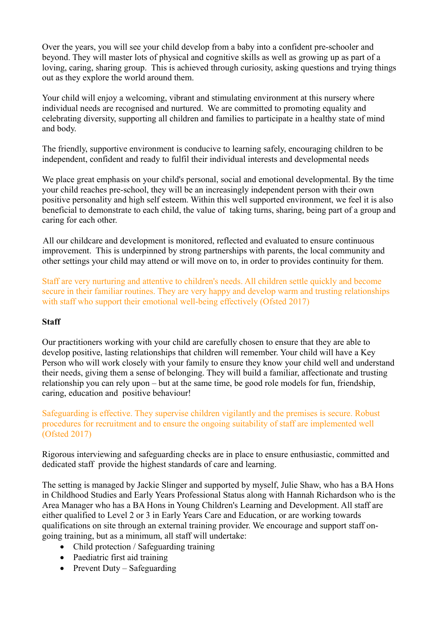Over the years, you will see your child develop from a baby into a confident pre-schooler and beyond. They will master lots of physical and cognitive skills as well as growing up as part of a loving, caring, sharing group. This is achieved through curiosity, asking questions and trying things out as they explore the world around them.

Your child will enjoy a welcoming, vibrant and stimulating environment at this nursery where individual needs are recognised and nurtured. We are committed to promoting equality and celebrating diversity, supporting all children and families to participate in a healthy state of mind and body.

The friendly, supportive environment is conducive to learning safely, encouraging children to be independent, confident and ready to fulfil their individual interests and developmental needs

We place great emphasis on your child's personal, social and emotional developmental. By the time your child reaches pre-school, they will be an increasingly independent person with their own positive personality and high self esteem. Within this well supported environment, we feel it is also beneficial to demonstrate to each child, the value of taking turns, sharing, being part of a group and caring for each other.

All our childcare and development is monitored, reflected and evaluated to ensure continuous improvement. This is underpinned by strong partnerships with parents, the local community and other settings your child may attend or will move on to, in order to provides continuity for them.

Staff are very nurturing and attentive to children's needs. All children settle quickly and become secure in their familiar routines. They are very happy and develop warm and trusting relationships with staff who support their emotional well-being effectively (Ofsted 2017)

# **Staff**

Our practitioners working with your child are carefully chosen to ensure that they are able to develop positive, lasting relationships that children will remember. Your child will have a Key Person who will work closely with your family to ensure they know your child well and understand their needs, giving them a sense of belonging. They will build a familiar, affectionate and trusting relationship you can rely upon – but at the same time, be good role models for fun, friendship, caring, education and positive behaviour!

Safeguarding is effective. They supervise children vigilantly and the premises is secure. Robust procedures for recruitment and to ensure the ongoing suitability of staff are implemented well (Ofsted 2017)

Rigorous interviewing and safeguarding checks are in place to ensure enthusiastic, committed and dedicated staff provide the highest standards of care and learning.

The setting is managed by Jackie Slinger and supported by myself, Julie Shaw, who has a BA Hons in Childhood Studies and Early Years Professional Status along with Hannah Richardson who is the Area Manager who has a BA Hons in Young Children's Learning and Development. All staff are either qualified to Level 2 or 3 in Early Years Care and Education, or are working towards qualifications on site through an external training provider. We encourage and support staff ongoing training, but as a minimum, all staff will undertake:

- Child protection / Safeguarding training
- Paediatric first aid training
- Prevent Duty Safeguarding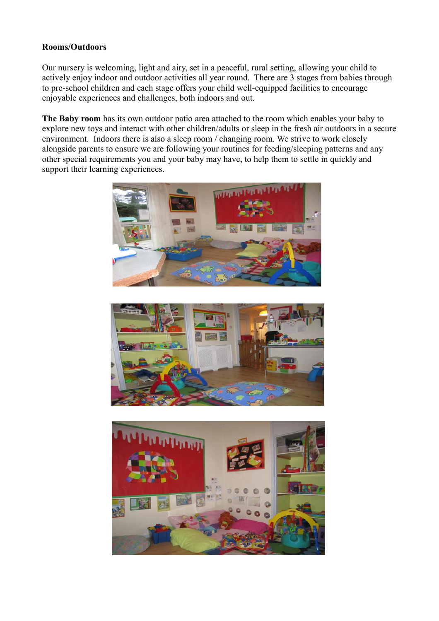### **Rooms/Outdoors**

Our nursery is welcoming, light and airy, set in a peaceful, rural setting, allowing your child to actively enjoy indoor and outdoor activities all year round. There are 3 stages from babies through to pre-school children and each stage offers your child well-equipped facilities to encourage enjoyable experiences and challenges, both indoors and out.

**The Baby room** has its own outdoor patio area attached to the room which enables your baby to explore new toys and interact with other children/adults or sleep in the fresh air outdoors in a secure environment. Indoors there is also a sleep room / changing room. We strive to work closely alongside parents to ensure we are following your routines for feeding/sleeping patterns and any other special requirements you and your baby may have, to help them to settle in quickly and support their learning experiences.





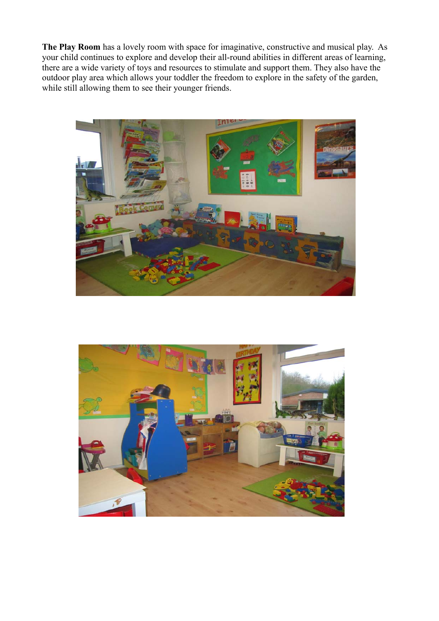**The Play Room** has a lovely room with space for imaginative, constructive and musical play. As your child continues to explore and develop their all-round abilities in different areas of learning, there are a wide variety of toys and resources to stimulate and support them. They also have the outdoor play area which allows your toddler the freedom to explore in the safety of the garden, while still allowing them to see their younger friends.



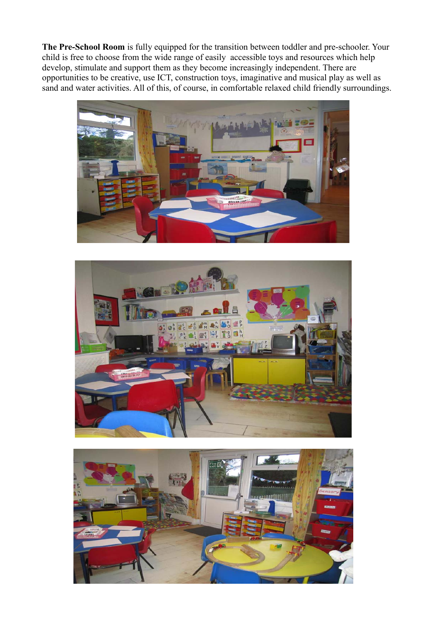**The Pre-School Room** is fully equipped for the transition between toddler and pre-schooler. Your child is free to choose from the wide range of easily accessible toys and resources which help develop, stimulate and support them as they become increasingly independent. There are opportunities to be creative, use ICT, construction toys, imaginative and musical play as well as sand and water activities. All of this, of course, in comfortable relaxed child friendly surroundings.





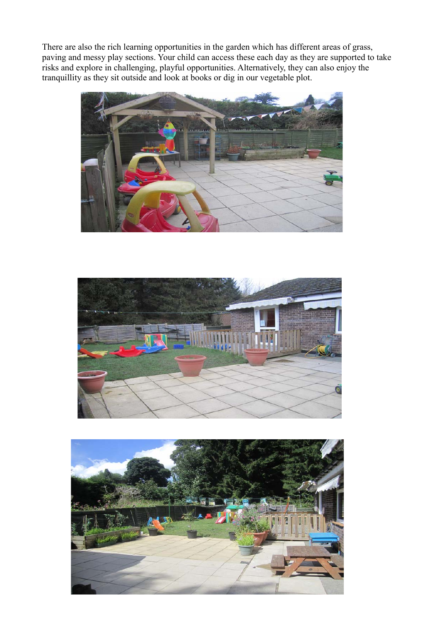There are also the rich learning opportunities in the garden which has different areas of grass, paving and messy play sections. Your child can access these each day as they are supported to take risks and explore in challenging, playful opportunities. Alternatively, they can also enjoy the tranquillity as they sit outside and look at books or dig in our vegetable plot.





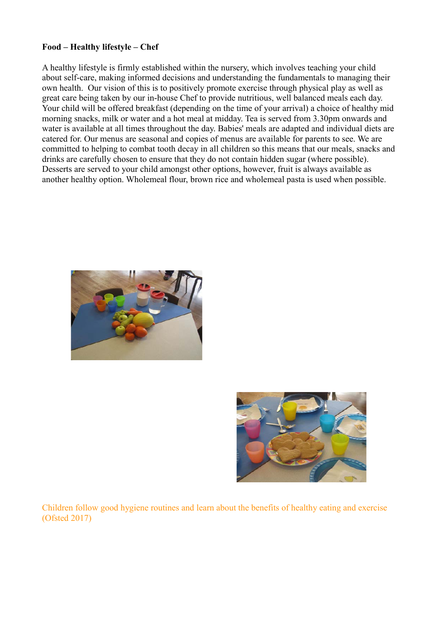#### **Food – Healthy lifestyle – Chef**

A healthy lifestyle is firmly established within the nursery, which involves teaching your child about self-care, making informed decisions and understanding the fundamentals to managing their own health. Our vision of this is to positively promote exercise through physical play as well as great care being taken by our in-house Chef to provide nutritious, well balanced meals each day. Your child will be offered breakfast (depending on the time of your arrival) a choice of healthy mid morning snacks, milk or water and a hot meal at midday. Tea is served from 3.30pm onwards and water is available at all times throughout the day. Babies' meals are adapted and individual diets are catered for. Our menus are seasonal and copies of menus are available for parents to see. We are committed to helping to combat tooth decay in all children so this means that our meals, snacks and drinks are carefully chosen to ensure that they do not contain hidden sugar (where possible). Desserts are served to your child amongst other options, however, fruit is always available as another healthy option. Wholemeal flour, brown rice and wholemeal pasta is used when possible.





Children follow good hygiene routines and learn about the benefits of healthy eating and exercise (Ofsted 2017)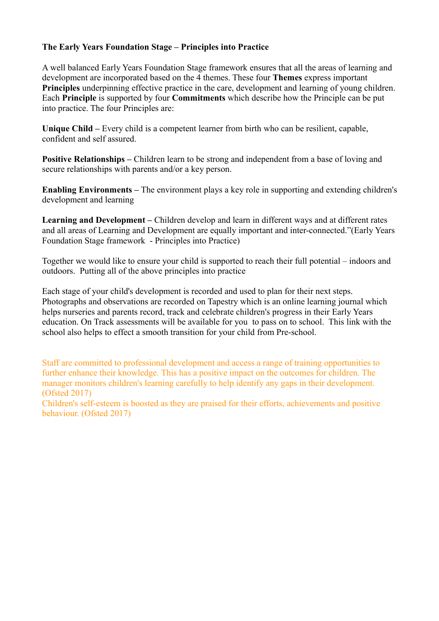# **The Early Years Foundation Stage – Principles into Practice**

A well balanced Early Years Foundation Stage framework ensures that all the areas of learning and development are incorporated based on the 4 themes. These four **Themes** express important **Principles** underpinning effective practice in the care, development and learning of young children. Each **Principle** is supported by four **Commitments** which describe how the Principle can be put into practice. The four Principles are:

**Unique Child –** Every child is a competent learner from birth who can be resilient, capable, confident and self assured.

**Positive Relationships –** Children learn to be strong and independent from a base of loving and secure relationships with parents and/or a key person.

**Enabling Environments –** The environment plays a key role in supporting and extending children's development and learning

**Learning and Development –** Children develop and learn in different ways and at different rates and all areas of Learning and Development are equally important and inter-connected."(Early Years Foundation Stage framework - Principles into Practice)

Together we would like to ensure your child is supported to reach their full potential – indoors and outdoors. Putting all of the above principles into practice

Each stage of your child's development is recorded and used to plan for their next steps. Photographs and observations are recorded on Tapestry which is an online learning journal which helps nurseries and parents record, track and celebrate children's progress in their Early Years education. On Track assessments will be available for you to pass on to school. This link with the school also helps to effect a smooth transition for your child from Pre-school.

Staff are committed to professional development and access a range of training opportunities to further enhance their knowledge. This has a positive impact on the outcomes for children. The manager monitors children's learning carefully to help identify any gaps in their development. (Ofsted 2017)

Children's self-esteem is boosted as they are praised for their efforts, achievements and positive behaviour. (Ofsted 2017)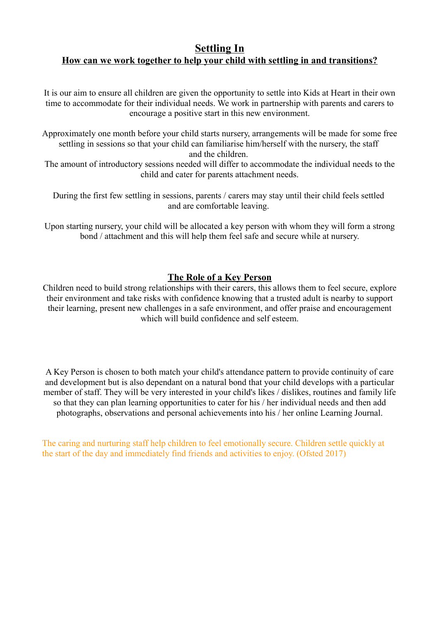# **Settling In How can we work together to help your child with settling in and transitions?**

It is our aim to ensure all children are given the opportunity to settle into Kids at Heart in their own time to accommodate for their individual needs. We work in partnership with parents and carers to encourage a positive start in this new environment.

Approximately one month before your child starts nursery, arrangements will be made for some free settling in sessions so that your child can familiarise him/herself with the nursery, the staff and the children.

The amount of introductory sessions needed will differ to accommodate the individual needs to the child and cater for parents attachment needs.

During the first few settling in sessions, parents / carers may stay until their child feels settled and are comfortable leaving.

Upon starting nursery, your child will be allocated a key person with whom they will form a strong bond / attachment and this will help them feel safe and secure while at nursery.

# **The Role of a Key Person**

Children need to build strong relationships with their carers, this allows them to feel secure, explore their environment and take risks with confidence knowing that a trusted adult is nearby to support their learning, present new challenges in a safe environment, and offer praise and encouragement which will build confidence and self esteem.

A Key Person is chosen to both match your child's attendance pattern to provide continuity of care and development but is also dependant on a natural bond that your child develops with a particular member of staff. They will be very interested in your child's likes / dislikes, routines and family life so that they can plan learning opportunities to cater for his / her individual needs and then add photographs, observations and personal achievements into his / her online Learning Journal.

The caring and nurturing staff help children to feel emotionally secure. Children settle quickly at the start of the day and immediately find friends and activities to enjoy. (Ofsted 2017)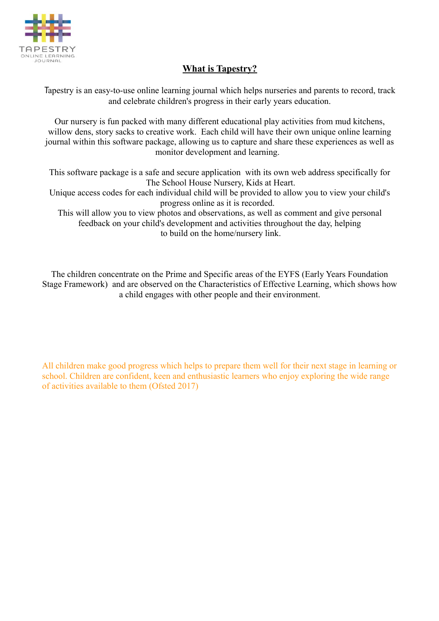

# **What is Tapestry?**

Tapestry is an easy-to-use online learning journal which helps nurseries and parents to record, track and celebrate children's progress in their early years education.

Our nursery is fun packed with many different educational play activities from mud kitchens, willow dens, story sacks to creative work. Each child will have their own unique online learning journal within this software package, allowing us to capture and share these experiences as well as monitor development and learning.

This software package is a safe and secure application with its own web address specifically for The School House Nursery, Kids at Heart. Unique access codes for each individual child will be provided to allow you to view your child's progress online as it is recorded. This will allow you to view photos and observations, as well as comment and give personal feedback on your child's development and activities throughout the day, helping

to build on the home/nursery link.

The children concentrate on the Prime and Specific areas of the EYFS (Early Years Foundation Stage Framework) and are observed on the Characteristics of Effective Learning, which shows how a child engages with other people and their environment.

All children make good progress which helps to prepare them well for their next stage in learning or school. Children are confident, keen and enthusiastic learners who enjoy exploring the wide range of activities available to them (Ofsted 2017)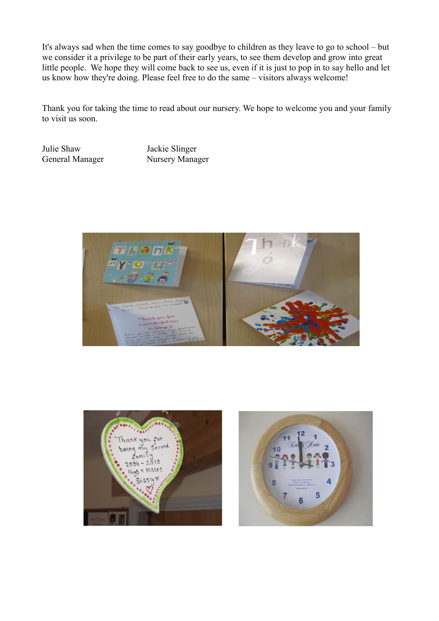It's always sad when the time comes to say goodbye to children as they leave to go to school – but we consider it a privilege to be part of their early years, to see them develop and grow into great little people. We hope they will come back to see us, even if it is just to pop in to say hello and let us know how they're doing. Please feel free to do the same – visitors always welcome!

Thank you for taking the time to read about our nursery. We hope to welcome you and your family to visit us soon.

Julie Shaw Jackie Slinger General Manager Nursery Manager





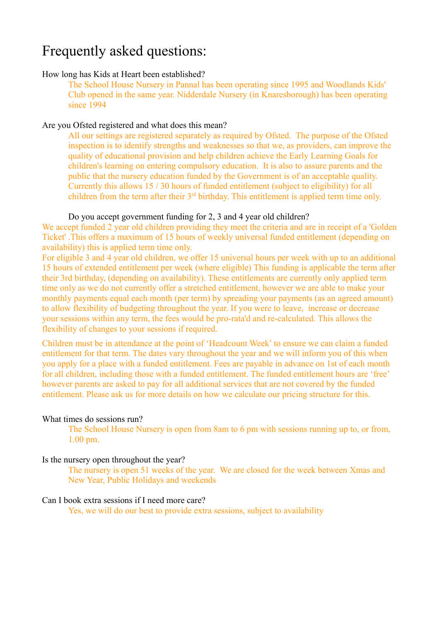# Frequently asked questions:

#### How long has Kids at Heart been established?

The School House Nursery in Pannal has been operating since 1995 and Woodlands Kids' Club opened in the same year. Nidderdale Nursery (in Knaresborough) has been operating since 1994

#### Are you Ofsted registered and what does this mean?

All our settings are registered separately as required by Ofsted. The purpose of the Ofsted inspection is to identify strengths and weaknesses so that we, as providers, can improve the quality of educational provision and help children achieve the Early Learning Goals for children's learning on entering compulsory education. It is also to assure parents and the public that the nursery education funded by the Government is of an acceptable quality. Currently this allows 15 / 30 hours of funded entitlement (subject to eligibility) for all children from the term after their 3<sup>rd</sup> birthday. This entitlement is applied term time only.

#### Do you accept government funding for 2, 3 and 4 year old children?

We accept funded 2 year old children providing they meet the criteria and are in receipt of a 'Golden Ticket' .This offers a maximum of 15 hours of weekly universal funded entitlement (depending on availability) this is applied term time only.

For eligible 3 and 4 year old children, we offer 15 universal hours per week with up to an additional 15 hours of extended entitlement per week (where eligible) This funding is applicable the term after their 3rd birthday, (depending on availability). These entitlements are currently only applied term time only as we do not currently offer a stretched entitlement, however we are able to make your monthly payments equal each month (per term) by spreading your payments (as an agreed amount) to allow flexibility of budgeting throughout the year. If you were to leave, increase or decrease your sessions within any term, the fees would be pro-rata'd and re-calculated. This allows the flexibility of changes to your sessions if required.

Children must be in attendance at the point of 'Headcount Week' to ensure we can claim a funded entitlement for that term. The dates vary throughout the year and we will inform you of this when you apply for a place with a funded entitlement. Fees are payable in advance on 1st of each month for all children, including those with a funded entitlement. The funded entitlement hours are 'free' however parents are asked to pay for all additional services that are not covered by the funded entitlement. Please ask us for more details on how we calculate our pricing structure for this.

### What times do sessions run?

The School House Nursery is open from 8am to 6 pm with sessions running up to, or from, 1.00 pm.

### Is the nursery open throughout the year?

The nursery is open 51 weeks of the year. We are closed for the week between Xmas and New Year, Public Holidays and weekends

#### Can I book extra sessions if I need more care?

Yes, we will do our best to provide extra sessions, subject to availability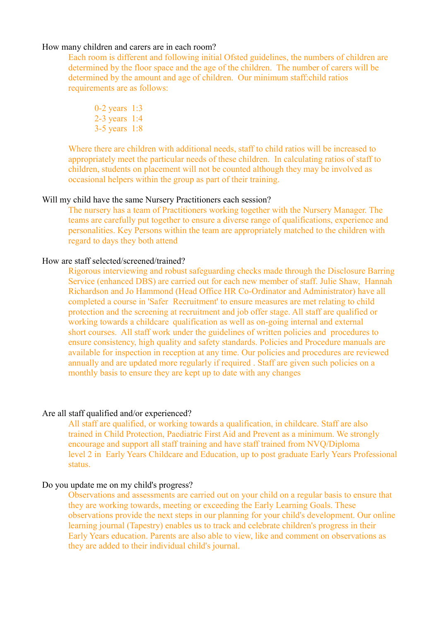#### How many children and carers are in each room?

Each room is different and following initial Ofsted guidelines, the numbers of children are determined by the floor space and the age of the children. The number of carers will be determined by the amount and age of children. Our minimum staff:child ratios requirements are as follows:

0-2 years 1:3 2-3 years 1:4 3-5 years 1:8

Where there are children with additional needs, staff to child ratios will be increased to appropriately meet the particular needs of these children. In calculating ratios of staff to children, students on placement will not be counted although they may be involved as occasional helpers within the group as part of their training.

#### Will my child have the same Nursery Practitioners each session?

The nursery has a team of Practitioners working together with the Nursery Manager. The teams are carefully put together to ensure a diverse range of qualifications, experience and personalities. Key Persons within the team are appropriately matched to the children with regard to days they both attend

#### How are staff selected/screened/trained?

Rigorous interviewing and robust safeguarding checks made through the Disclosure Barring Service (enhanced DBS) are carried out for each new member of staff. Julie Shaw, Hannah Richardson and Jo Hammond (Head Office HR Co-Ordinator and Administrator) have all completed a course in 'Safer Recruitment' to ensure measures are met relating to child protection and the screening at recruitment and job offer stage. All staff are qualified or working towards a childcare qualification as well as on-going internal and external short courses. All staff work under the guidelines of written policies and procedures to ensure consistency, high quality and safety standards. Policies and Procedure manuals are available for inspection in reception at any time. Our policies and procedures are reviewed annually and are updated more regularly if required . Staff are given such policies on a monthly basis to ensure they are kept up to date with any changes

#### Are all staff qualified and/or experienced?

All staff are qualified, or working towards a qualification, in childcare. Staff are also trained in Child Protection, Paediatric First Aid and Prevent as a minimum. We strongly encourage and support all staff training and have staff trained from NVQ/Diploma level 2 in Early Years Childcare and Education, up to post graduate Early Years Professional status.

#### Do you update me on my child's progress?

Observations and assessments are carried out on your child on a regular basis to ensure that they are working towards, meeting or exceeding the Early Learning Goals. These observations provide the next steps in our planning for your child's development. Our online learning journal (Tapestry) enables us to track and celebrate children's progress in their Early Years education. Parents are also able to view, like and comment on observations as they are added to their individual child's journal.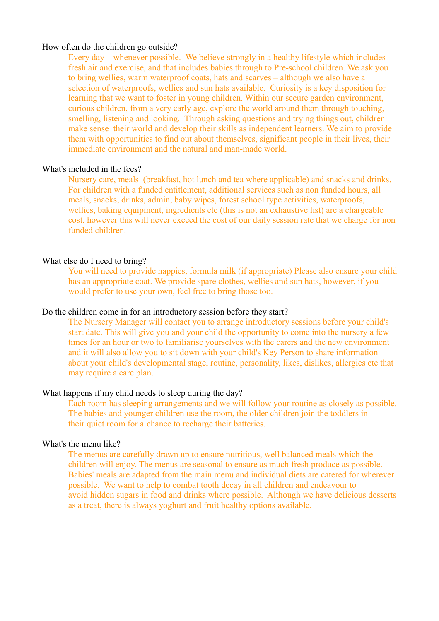#### How often do the children go outside?

Every day – whenever possible. We believe strongly in a healthy lifestyle which includes fresh air and exercise, and that includes babies through to Pre-school children. We ask you to bring wellies, warm waterproof coats, hats and scarves – although we also have a selection of waterproofs, wellies and sun hats available. Curiosity is a key disposition for learning that we want to foster in young children. Within our secure garden environment, curious children, from a very early age, explore the world around them through touching, smelling, listening and looking. Through asking questions and trying things out, children make sense their world and develop their skills as independent learners. We aim to provide them with opportunities to find out about themselves, significant people in their lives, their immediate environment and the natural and man-made world.

#### What's included in the fees?

Nursery care, meals (breakfast, hot lunch and tea where applicable) and snacks and drinks. For children with a funded entitlement, additional services such as non funded hours, all meals, snacks, drinks, admin, baby wipes, forest school type activities, waterproofs, wellies, baking equipment, ingredients etc (this is not an exhaustive list) are a chargeable cost, however this will never exceed the cost of our daily session rate that we charge for non funded children.

#### What else do I need to bring?

You will need to provide nappies, formula milk (if appropriate) Please also ensure your child has an appropriate coat. We provide spare clothes, wellies and sun hats, however, if you would prefer to use your own, feel free to bring those too.

#### Do the children come in for an introductory session before they start?

The Nursery Manager will contact you to arrange introductory sessions before your child's start date. This will give you and your child the opportunity to come into the nursery a few times for an hour or two to familiarise yourselves with the carers and the new environment and it will also allow you to sit down with your child's Key Person to share information about your child's developmental stage, routine, personality, likes, dislikes, allergies etc that may require a care plan.

#### What happens if my child needs to sleep during the day?

Each room has sleeping arrangements and we will follow your routine as closely as possible. The babies and younger children use the room, the older children join the toddlers in their quiet room for a chance to recharge their batteries.

#### What's the menu like?

The menus are carefully drawn up to ensure nutritious, well balanced meals which the children will enjoy. The menus are seasonal to ensure as much fresh produce as possible. Babies' meals are adapted from the main menu and individual diets are catered for wherever possible. We want to help to combat tooth decay in all children and endeavour to avoid hidden sugars in food and drinks where possible. Although we have delicious desserts as a treat, there is always yoghurt and fruit healthy options available.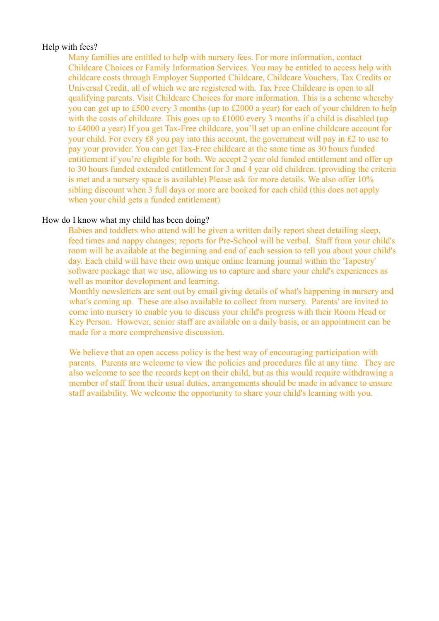#### Help with fees?

Many families are entitled to help with nursery fees. For more information, contact Childcare Choices or Family Information Services. You may be entitled to access help with childcare costs through Employer Supported Childcare, Childcare Vouchers, Tax Credits or Universal Credit, all of which we are registered with. Tax Free Childcare is open to all qualifying parents. Visit Childcare Choices for more information. This is a scheme whereby you can get up to £500 every 3 months (up to £2000 a year) for each of your children to help with the costs of childcare. This goes up to £1000 every 3 months if a child is disabled (up to £4000 a year) If you get Tax-Free childcare, you'll set up an online childcare account for your child. For every £8 you pay into this account, the government will pay in £2 to use to pay your provider. You can get Tax-Free childcare at the same time as 30 hours funded entitlement if you're eligible for both. We accept 2 year old funded entitlement and offer up to 30 hours funded extended entitlement for 3 and 4 year old children. (providing the criteria is met and a nursery space is available) Please ask for more details. We also offer 10% sibling discount when 3 full days or more are booked for each child (this does not apply when your child gets a funded entitlement)

#### How do I know what my child has been doing?

Babies and toddlers who attend will be given a written daily report sheet detailing sleep, feed times and nappy changes; reports for Pre-School will be verbal. Staff from your child's room will be available at the beginning and end of each session to tell you about your child's day. Each child will have their own unique online learning journal within the 'Tapestry' software package that we use, allowing us to capture and share your child's experiences as well as monitor development and learning.

Monthly newsletters are sent out by email giving details of what's happening in nursery and what's coming up. These are also available to collect from nursery. Parents' are invited to come into nursery to enable you to discuss your child's progress with their Room Head or Key Person. However, senior staff are available on a daily basis, or an appointment can be made for a more comprehensive discussion.

We believe that an open access policy is the best way of encouraging participation with parents. Parents are welcome to view the policies and procedures file at any time. They are also welcome to see the records kept on their child, but as this would require withdrawing a member of staff from their usual duties, arrangements should be made in advance to ensure staff availability. We welcome the opportunity to share your child's learning with you.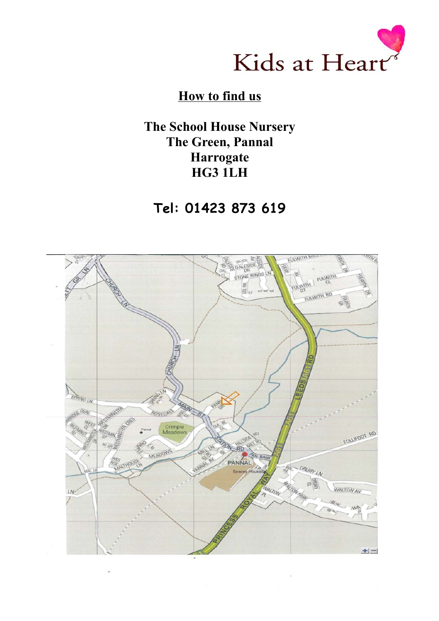

# **How to find us**

**The School House Nursery The Green, Pannal Harrogate HG3 1LH**

**Tel: 01423 873 619**

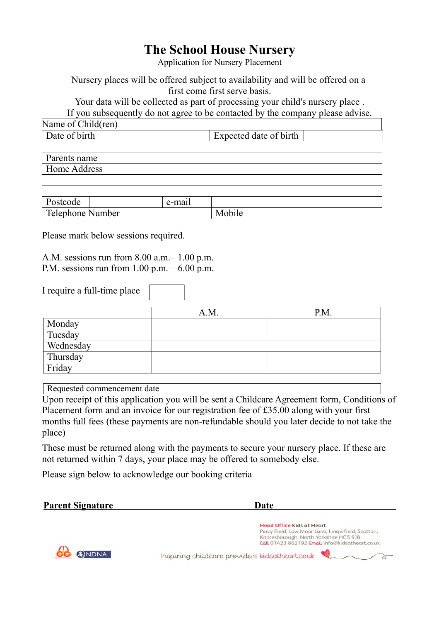# **The School House Nursery**

Application for Nursery Placement

Nursery places will be offered subject to availability and will be offered on a first come first serve basis.

Your data will be collected as part of processing your child's nursery place .

If you subsequently do not agree to be contacted by the company please advise.

| Name<br>$\sim$<br>hild(ren)<br>$\Omega$ of $\prime$ |                        |  |
|-----------------------------------------------------|------------------------|--|
| Date of birth<br>$\overline{\phantom{a}}$           | Expected date of birth |  |

| Parents name     |  |        |        |  |  |
|------------------|--|--------|--------|--|--|
| Home Address     |  |        |        |  |  |
|                  |  |        |        |  |  |
|                  |  |        |        |  |  |
| Postcode         |  | e-mail |        |  |  |
| Telephone Number |  |        | Mobile |  |  |

Please mark below sessions required.

A.M. sessions run from 8.00 a.m.– 1.00 p.m. P.M. sessions run from  $1.00$  p.m.  $-6.00$  p.m.

I require a full-time place

|           | A.M. | P.M. |
|-----------|------|------|
| Monday    |      |      |
| Tuesday   |      |      |
| Wednesday |      |      |
| Thursday  |      |      |
| Friday    |      |      |

Requested commencement date

Upon receipt of this application you will be sent a Childcare Agreement form, Conditions of Placement form and an invoice for our registration fee of £35.00 along with your first months full fees (these payments are non-refundable should you later decide to not take the place)

These must be returned along with the payments to secure your nursery place. If these are not returned within 7 days, your place may be offered to somebody else.

Please sign below to acknowledge our booking criteria

| <b>Parent Signature</b> | Date                                                                                                                                                                              |
|-------------------------|-----------------------------------------------------------------------------------------------------------------------------------------------------------------------------------|
|                         | <b>Head Office Kids at Heart</b><br>Percy Field, Low Moor Lane, Lingerfield, Scotton,<br>Knaresborough, North Yorkshire HG5 9JB<br>Call 01423 862192 Email info@kidsatheart.co.uk |
| ANDNA                   | Inspiring childcare providers kidsatheart.ce.uk                                                                                                                                   |